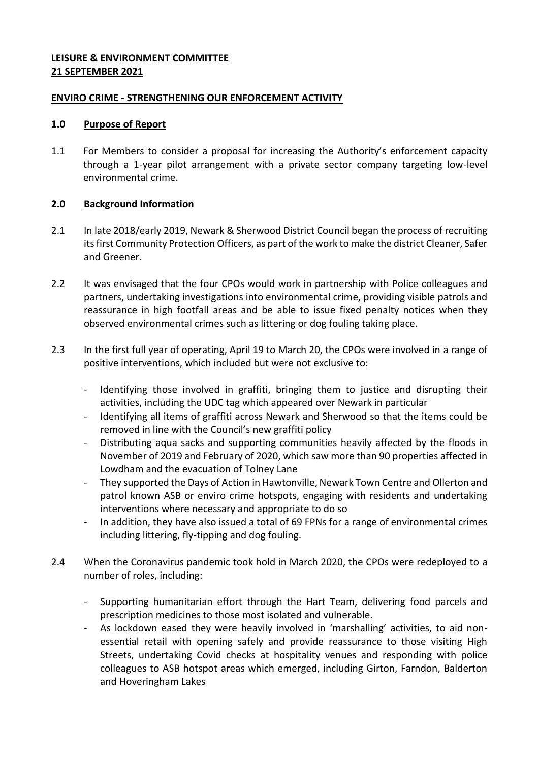## **LEISURE & ENVIRONMENT COMMITTEE 21 SEPTEMBER 2021**

## **ENVIRO CRIME - STRENGTHENING OUR ENFORCEMENT ACTIVITY**

## **1.0 Purpose of Report**

1.1 For Members to consider a proposal for increasing the Authority's enforcement capacity through a 1-year pilot arrangement with a private sector company targeting low-level environmental crime.

# **2.0 Background Information**

- 2.1 In late 2018/early 2019, Newark & Sherwood District Council began the process of recruiting its first Community Protection Officers, as part of the work to make the district Cleaner, Safer and Greener.
- 2.2 It was envisaged that the four CPOs would work in partnership with Police colleagues and partners, undertaking investigations into environmental crime, providing visible patrols and reassurance in high footfall areas and be able to issue fixed penalty notices when they observed environmental crimes such as littering or dog fouling taking place.
- 2.3 In the first full year of operating, April 19 to March 20, the CPOs were involved in a range of positive interventions, which included but were not exclusive to:
	- Identifying those involved in graffiti, bringing them to justice and disrupting their activities, including the UDC tag which appeared over Newark in particular
	- Identifying all items of graffiti across Newark and Sherwood so that the items could be removed in line with the Council's new graffiti policy
	- Distributing aqua sacks and supporting communities heavily affected by the floods in November of 2019 and February of 2020, which saw more than 90 properties affected in Lowdham and the evacuation of Tolney Lane
	- They supported the Days of Action in Hawtonville, Newark Town Centre and Ollerton and patrol known ASB or enviro crime hotspots, engaging with residents and undertaking interventions where necessary and appropriate to do so
	- In addition, they have also issued a total of 69 FPNs for a range of environmental crimes including littering, fly-tipping and dog fouling.
- 2.4 When the Coronavirus pandemic took hold in March 2020, the CPOs were redeployed to a number of roles, including:
	- Supporting humanitarian effort through the Hart Team, delivering food parcels and prescription medicines to those most isolated and vulnerable.
	- As lockdown eased they were heavily involved in 'marshalling' activities, to aid nonessential retail with opening safely and provide reassurance to those visiting High Streets, undertaking Covid checks at hospitality venues and responding with police colleagues to ASB hotspot areas which emerged, including Girton, Farndon, Balderton and Hoveringham Lakes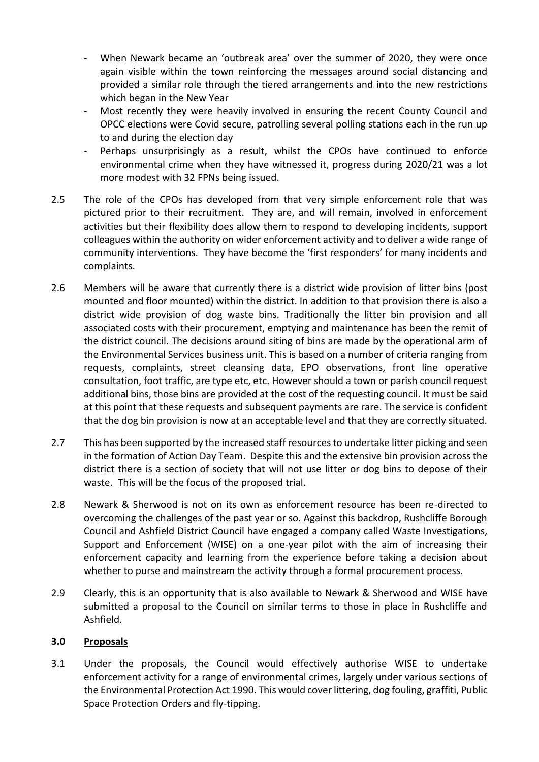- When Newark became an 'outbreak area' over the summer of 2020, they were once again visible within the town reinforcing the messages around social distancing and provided a similar role through the tiered arrangements and into the new restrictions which began in the New Year
- Most recently they were heavily involved in ensuring the recent County Council and OPCC elections were Covid secure, patrolling several polling stations each in the run up to and during the election day
- Perhaps unsurprisingly as a result, whilst the CPOs have continued to enforce environmental crime when they have witnessed it, progress during 2020/21 was a lot more modest with 32 FPNs being issued.
- 2.5 The role of the CPOs has developed from that very simple enforcement role that was pictured prior to their recruitment. They are, and will remain, involved in enforcement activities but their flexibility does allow them to respond to developing incidents, support colleagues within the authority on wider enforcement activity and to deliver a wide range of community interventions. They have become the 'first responders' for many incidents and complaints.
- 2.6 Members will be aware that currently there is a district wide provision of litter bins (post mounted and floor mounted) within the district. In addition to that provision there is also a district wide provision of dog waste bins. Traditionally the litter bin provision and all associated costs with their procurement, emptying and maintenance has been the remit of the district council. The decisions around siting of bins are made by the operational arm of the Environmental Services business unit. This is based on a number of criteria ranging from requests, complaints, street cleansing data, EPO observations, front line operative consultation, foot traffic, are type etc, etc. However should a town or parish council request additional bins, those bins are provided at the cost of the requesting council. It must be said at this point that these requests and subsequent payments are rare. The service is confident that the dog bin provision is now at an acceptable level and that they are correctly situated.
- 2.7 This has been supported by the increased staff resources to undertake litter picking and seen in the formation of Action Day Team. Despite this and the extensive bin provision across the district there is a section of society that will not use litter or dog bins to depose of their waste. This will be the focus of the proposed trial.
- 2.8 Newark & Sherwood is not on its own as enforcement resource has been re-directed to overcoming the challenges of the past year or so. Against this backdrop, Rushcliffe Borough Council and Ashfield District Council have engaged a company called Waste Investigations, Support and Enforcement (WISE) on a one-year pilot with the aim of increasing their enforcement capacity and learning from the experience before taking a decision about whether to purse and mainstream the activity through a formal procurement process.
- 2.9 Clearly, this is an opportunity that is also available to Newark & Sherwood and WISE have submitted a proposal to the Council on similar terms to those in place in Rushcliffe and Ashfield.

## **3.0 Proposals**

3.1 Under the proposals, the Council would effectively authorise WISE to undertake enforcement activity for a range of environmental crimes, largely under various sections of the Environmental Protection Act 1990. This would cover littering, dog fouling, graffiti, Public Space Protection Orders and fly-tipping.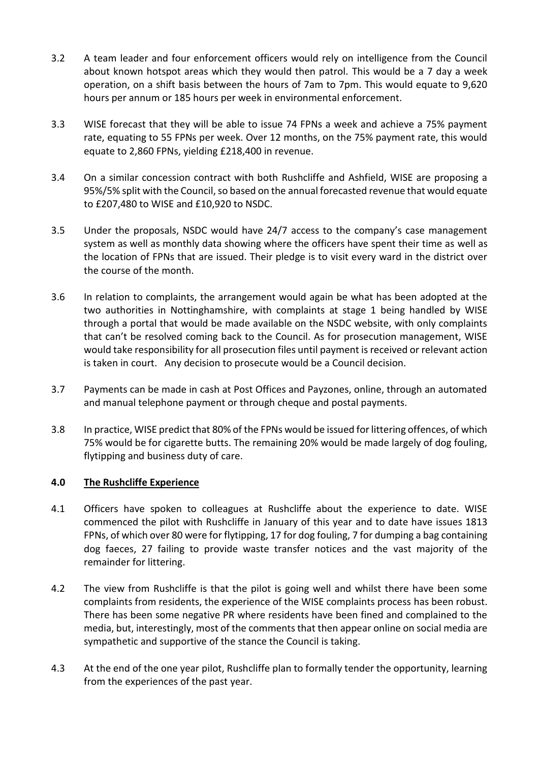- 3.2 A team leader and four enforcement officers would rely on intelligence from the Council about known hotspot areas which they would then patrol. This would be a 7 day a week operation, on a shift basis between the hours of 7am to 7pm. This would equate to 9,620 hours per annum or 185 hours per week in environmental enforcement.
- 3.3 WISE forecast that they will be able to issue 74 FPNs a week and achieve a 75% payment rate, equating to 55 FPNs per week. Over 12 months, on the 75% payment rate, this would equate to 2,860 FPNs, yielding £218,400 in revenue.
- 3.4 On a similar concession contract with both Rushcliffe and Ashfield, WISE are proposing a 95%/5% split with the Council, so based on the annual forecasted revenue that would equate to £207,480 to WISE and £10,920 to NSDC.
- 3.5 Under the proposals, NSDC would have 24/7 access to the company's case management system as well as monthly data showing where the officers have spent their time as well as the location of FPNs that are issued. Their pledge is to visit every ward in the district over the course of the month.
- 3.6 In relation to complaints, the arrangement would again be what has been adopted at the two authorities in Nottinghamshire, with complaints at stage 1 being handled by WISE through a portal that would be made available on the NSDC website, with only complaints that can't be resolved coming back to the Council. As for prosecution management, WISE would take responsibility for all prosecution files until payment is received or relevant action is taken in court. Any decision to prosecute would be a Council decision.
- 3.7 Payments can be made in cash at Post Offices and Payzones, online, through an automated and manual telephone payment or through cheque and postal payments.
- 3.8 In practice, WISE predict that 80% of the FPNs would be issued for littering offences, of which 75% would be for cigarette butts. The remaining 20% would be made largely of dog fouling, flytipping and business duty of care.

# **4.0 The Rushcliffe Experience**

- 4.1 Officers have spoken to colleagues at Rushcliffe about the experience to date. WISE commenced the pilot with Rushcliffe in January of this year and to date have issues 1813 FPNs, of which over 80 were for flytipping, 17 for dog fouling, 7 for dumping a bag containing dog faeces, 27 failing to provide waste transfer notices and the vast majority of the remainder for littering.
- 4.2 The view from Rushcliffe is that the pilot is going well and whilst there have been some complaints from residents, the experience of the WISE complaints process has been robust. There has been some negative PR where residents have been fined and complained to the media, but, interestingly, most of the comments that then appear online on social media are sympathetic and supportive of the stance the Council is taking.
- 4.3 At the end of the one year pilot, Rushcliffe plan to formally tender the opportunity, learning from the experiences of the past year.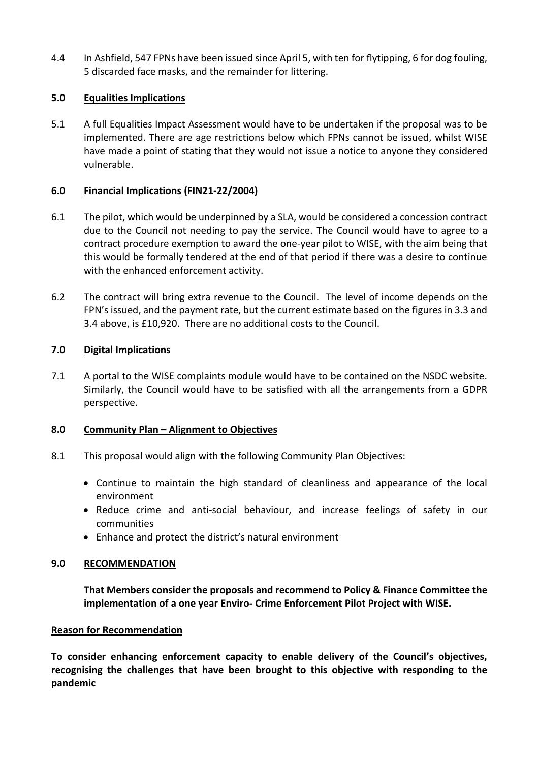4.4 In Ashfield, 547 FPNs have been issued since April 5, with ten for flytipping, 6 for dog fouling, 5 discarded face masks, and the remainder for littering.

## **5.0 Equalities Implications**

5.1 A full Equalities Impact Assessment would have to be undertaken if the proposal was to be implemented. There are age restrictions below which FPNs cannot be issued, whilst WISE have made a point of stating that they would not issue a notice to anyone they considered vulnerable.

## **6.0 Financial Implications (FIN21-22/2004)**

- 6.1 The pilot, which would be underpinned by a SLA, would be considered a concession contract due to the Council not needing to pay the service. The Council would have to agree to a contract procedure exemption to award the one-year pilot to WISE, with the aim being that this would be formally tendered at the end of that period if there was a desire to continue with the enhanced enforcement activity.
- 6.2 The contract will bring extra revenue to the Council. The level of income depends on the FPN's issued, and the payment rate, but the current estimate based on the figures in 3.3 and 3.4 above, is £10,920. There are no additional costs to the Council.

## **7.0 Digital Implications**

7.1 A portal to the WISE complaints module would have to be contained on the NSDC website. Similarly, the Council would have to be satisfied with all the arrangements from a GDPR perspective.

## **8.0 Community Plan – Alignment to Objectives**

- 8.1 This proposal would align with the following Community Plan Objectives:
	- Continue to maintain the high standard of cleanliness and appearance of the local environment
	- Reduce crime and anti-social behaviour, and increase feelings of safety in our communities
	- Enhance and protect the district's natural environment

## **9.0 RECOMMENDATION**

**That Members consider the proposals and recommend to Policy & Finance Committee the implementation of a one year Enviro- Crime Enforcement Pilot Project with WISE.**

## **Reason for Recommendation**

**To consider enhancing enforcement capacity to enable delivery of the Council's objectives, recognising the challenges that have been brought to this objective with responding to the pandemic**